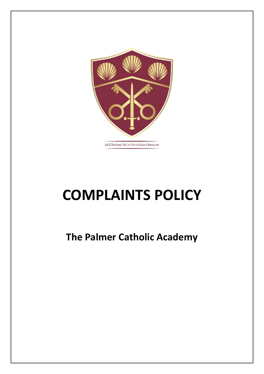

# **COMPLAINTS POLICY**

**The Palmer Catholic Academy**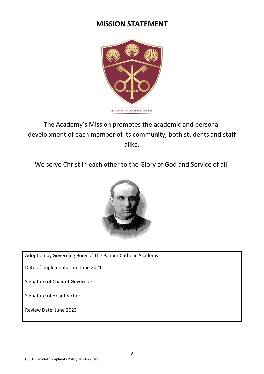# **MISSION STATEMENT**



The Academy's Mission promotes the academic and personal development of each member of its community, both students and staff alike.

We serve Christ in each other to the Glory of God and Service of all.



Adoption by Governing Body of The Palmer Catholic Academy:

Date of Implementation: June 2021

Signature of Chair of Governors:

Signature of Headteacher:

Review Date: June 2023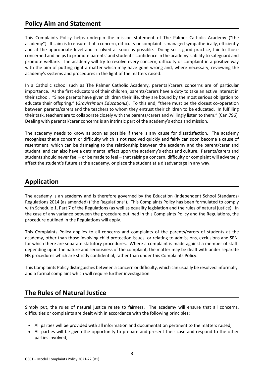## **Policy Aim and Statement**

This Complaints Policy helps underpin the mission statement of The Palmer Catholic Academy ("the academy"). Its aim is to ensure that a concern, difficulty or complaint is managed sympathetically, efficiently and at the appropriate level and resolved as soon as possible. Doing so is good practice, fair to those concerned and helps to promote parents' and students' confidence in the academy's ability to safeguard and promote welfare. The academy will try to resolve every concern, difficulty or complaint in a positive way with the aim of putting right a matter which may have gone wrong and, where necessary, reviewing the academy's systems and procedures in the light of the matters raised.

In a Catholic school such as The Palmer Catholic Academy, parental/carers concerns are of particular importance. As the first educators of their children, parents/carers have a duty to take an active interest in their school. "Since parents have given children their life, they are bound by the most serious obligation to educate their offspring." (*Gravissimum Educationis*). To this end, "there must be the closest co-operation between parents/carers and the teachers to whom they entrust their children to be educated. In fulfilling their task, teachers are to collaborate closely with the parents/carers and willingly listen to them." (Can.796). Dealing with parental/carer concerns is an intrinsic part of the academy's ethos and mission.

The academy needs to know as soon as possible if there is any cause for dissatisfaction. The academy recognises that a concern or difficulty which is not resolved quickly and fairly can soon become a cause of resentment, which can be damaging to the relationship between the academy and the parent/carer and student, and can also have a detrimental effect upon the academy's ethos and culture. Parents/carers and students should never feel – or be made to feel – that raising a concern, difficulty or complaint will adversely affect the student's future at the academy, or place the student at a disadvantage in any way.

## **Application**

The academy is an academy and is therefore governed by the Education (Independent School Standards) Regulations 2014 (as amended) ("the Regulations"). This Complaints Policy has been formulated to comply with Schedule 1, Part 7 of the Regulations (as well as equality legislation and the rules of natural justice). In the case of any variance between the procedure outlined in this Complaints Policy and the Regulations, the procedure outlined in the Regulations will apply.

This Complaints Policy applies to all concerns and complaints of the parents/carers of students at the academy, other than those involving child protection issues, or relating to admissions, exclusions and SEN, for which there are separate statutory procedures. Where a complaint is made against a member of staff, depending upon the nature and seriousness of the complaint, the matter may be dealt with under separate HR procedures which are strictly confidential, rather than under this Complaints Policy.

This Complaints Policy distinguishes between a concern or difficulty, which can usually be resolved informally, and a formal complaint which will require further investigation.

## **The Rules of Natural Justice**

Simply put, the rules of natural justice relate to fairness. The academy will ensure that all concerns, difficulties or complaints are dealt with in accordance with the following principles:

- All parties will be provided with all information and documentation pertinent to the matters raised;
- All parties will be given the opportunity to prepare and present their case and respond to the other parties involved;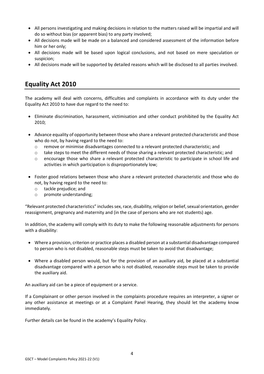- All persons investigating and making decisions in relation to the matters raised will be impartial and will do so without bias (or apparent bias) to any party involved;
- All decisions made will be made on a balanced and considered assessment of the information before him or her only;
- All decisions made will be based upon logical conclusions, and not based on mere speculation or suspicion;
- All decisions made will be supported by detailed reasons which will be disclosed to all parties involved.

# **Equality Act 2010**

The academy will deal with concerns, difficulties and complaints in accordance with its duty under the Equality Act 2010 to have due regard to the need to:

- Eliminate discrimination, harassment, victimisation and other conduct prohibited by the Equality Act 2010;
- Advance equality of opportunity between those who share a relevant protected characteristic and those who do not, by having regard to the need to:
	- o remove or minimise disadvantages connected to a relevant protected characteristic; and
	- o take steps to meet the different needs of those sharing a relevant protected characteristic; and
	- o encourage those who share a relevant protected characteristic to participate in school life and activities in which participation is disproportionately low;
- Foster good relations between those who share a relevant protected characteristic and those who do not, by having regard to the need to:
	- o tackle prejudice; and
	- o promote understanding;

"Relevant protected characteristics" includes sex, race, disability, religion or belief, sexual orientation, gender reassignment, pregnancy and maternity and (in the case of persons who are not students) age.

In addition, the academy will comply with its duty to make the following reasonable adjustments for persons with a disability:

- Where a provision, criterion or practice places a disabled person at a substantial disadvantage compared to person who is not disabled, reasonable steps must be taken to avoid that disadvantage;
- Where a disabled person would, but for the provision of an auxiliary aid, be placed at a substantial disadvantage compared with a person who is not disabled, reasonable steps must be taken to provide the auxiliary aid.

An auxiliary aid can be a piece of equipment or a service.

If a Complainant or other person involved in the complaints procedure requires an interpreter, a signer or any other assistance at meetings or at a Complaint Panel Hearing, they should let the academy know immediately.

Further details can be found in the academy's Equality Policy.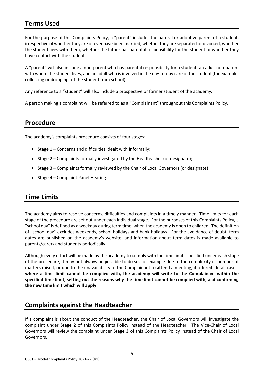## **Terms Used**

For the purpose of this Complaints Policy, a "parent" includes the natural or adoptive parent of a student, irrespective of whether they are or ever have been married, whether they are separated or divorced, whether the student lives with them, whether the father has parental responsibility for the student or whether they have contact with the student.

A "parent" will also include a non-parent who has parental responsibility for a student, an adult non-parent with whom the student lives, and an adult who is involved in the day-to-day care of the student (for example, collecting or dropping off the student from school).

Any reference to a "student" will also include a prospective or former student of the academy.

A person making a complaint will be referred to as a "Complainant" throughout this Complaints Policy.

## **Procedure**

The academy's complaints procedure consists of four stages:

- Stage 1 Concerns and difficulties, dealt with informally;
- Stage 2 Complaints formally investigated by the Headteacher (or designate);
- Stage 3 Complaints formally reviewed by the Chair of Local Governors (or designate);
- Stage 4 Complaint Panel Hearing.

## **Time Limits**

The academy aims to resolve concerns, difficulties and complaints in a timely manner. Time limits for each stage of the procedure are set out under each individual stage. For the purposes of this Complaints Policy, a "school day" is defined as a weekday during term time, when the academy is open to children. The definition of "school day" excludes weekends, school holidays and bank holidays. For the avoidance of doubt, term dates are published on the academy's website, and information about term dates is made available to parents/carers and students periodically.

Although every effort will be made by the academy to comply with the time limits specified under each stage of the procedure, it may not always be possible to do so, for example due to the complexity or number of matters raised, or due to the unavailability of the Complainant to attend a meeting, if offered. In all cases, **where a time limit cannot be complied with, the academy will write to the Complainant within the specified time limit, setting out the reasons why the time limit cannot be complied with, and confirming the new time limit which will apply**.

## **Complaints against the Headteacher**

If a complaint is about the conduct of the Headteacher, the Chair of Local Governors will investigate the complaint under **Stage 2** of this Complaints Policy instead of the Headteacher. The Vice-Chair of Local Governors will review the complaint under **Stage 3** of this Complaints Policy instead of the Chair of Local Governors.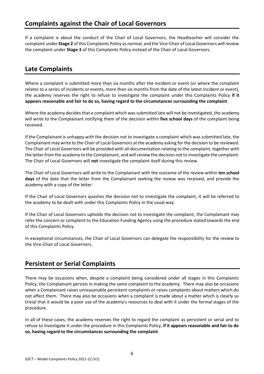## **Complaints against the Chair of Local Governors**

If a complaint is about the conduct of the Chair of Local Governors, the Headteacher will consider the complaint under **Stage 2** of this Complaints Policy as normal, and the Vice-Chair of Local Governors will review the complaint under **Stage 3** of this Complaints Policy instead of the Chair of Local Governors.

## **Late Complaints**

Where a complaint is submitted more than six months after the incident or event (or where the complaint relates to a series of incidents or events, more than six months from the date of the latest incident or event), the academy reserves the right to refuse to investigate the complaint under this Complaints Policy **if it appears reasonable and fair to do so, having regard to the circumstances surrounding the complaint**.

Where the academy decides that a complaint which was submitted late will not be investigated, the academy will write to the Complainant notifying them of the decision within **five school days** of the complaint being received.

If the Complainant is unhappy with the decision not to investigate a complaint which was submitted late, the Complainant may write to the Chair of Local Governors at the academy asking for the decision to be reviewed. The Chair of Local Governors will be provided with all documentation relating to the complaint, together with the letter from the academy to the Complainant, and will review the decision not to investigate the complaint. The Chair of Local Governors will **not** investigate the complaint itself during this review.

The Chair of Local Governors will write to the Complainant with the outcome of the review within **ten school days** of the date that the letter from the Complainant seeking the review was received, and provide the academy with a copy of the letter.

If the Chair of Local Governors quashes the decision not to investigate the complaint, it will be referred to the academy to be dealt with under this Complaints Policy in the usual way.

If the Chair of Local Governors upholds the decision not to investigate the complaint, the Complainant may refer the concern or complaint to the Education Funding Agency using the procedure stated towards the end of this Complaints Policy.

In exceptional circumstances, the Chair of Local Governors can delegate the responsibility for the review to the Vice-Chair of Local Governors.

## **Persistent or Serial Complaints**

There may be occasions when, despite a complaint being considered under all stages in this Complaints Policy, the Complainant persists in making the same complaint to the academy. There may also be occasions when a Complainant raises unreasonable persistent complaints or raises complaints about matters which do not affect them. There may also be occasions when a complaint is made about a matter which is clearly so trivial that it would be a poor use of the academy's resources to deal with it under the formal stages of the procedure.

In all of these cases, the academy reserves the right to regard the complaint as persistent or serial and to refuse to investigate it under the procedure in this Complaints Policy, **if it appears reasonable and fair to do so, having regard to the circumstances surrounding the complaint**.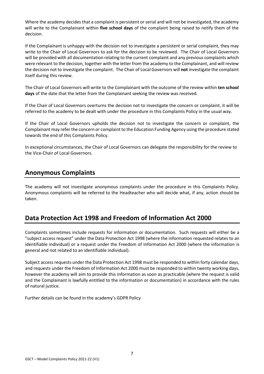Where the academy decides that a complaint is persistent or serial and will not be investigated, the academy will write to the Complainant within **five school days** of the complaint being raised to notify them of the decision.

If the Complainant is unhappy with the decision not to investigate a persistent or serial complaint, they may write to the Chair of Local Governors to ask for the decision to be reviewed. The Chair of Local Governors will be provided with all documentation relating to the current complaint and any previous complaints which were relevant to the decision, together with the letter from the academy to the Complainant, and will review the decision not to investigate the complaint. The Chair of Local Governors will **not** investigate the complaint itself during this review.

The Chair of Local Governors will write to the Complainant with the outcome of the review within **ten school days** of the date that the letter from the Complainant seeking the review was received.

If the Chair of Local Governors overturns the decision not to investigate the concern or complaint, it will be referred to the academy to be dealt with under the procedure in this Complaints Policy in the usual way.

If the Chair of Local Governors upholds the decision not to investigate the concern or complaint, the Complainant may refer the concern or complaint to the Education Funding Agency using the procedure stated towards the end of this Complaints Policy.

In exceptional circumstances, the Chair of Local Governors can delegate the responsibility for the review to the Vice-Chair of Local Governors.

## **Anonymous Complaints**

The academy will not investigate anonymous complaints under the procedure in this Complaints Policy. Anonymous complaints will be referred to the Headteacher who will decide what, if any, action should be taken.

## **Data Protection Act 1998 and Freedom of Information Act 2000**

Complaints sometimes include requests for information or documentation. Such requests will either be a "subject access request" under the Data Protection Act 1998 (where the information requested relates to an identifiable individual) or a request under the Freedom of Information Act 2000 (where the information is general and not related to an identifiable individual).

Subject access requests under the Data Protection Act 1998 must be responded to within forty calendar days, and requests under the Freedom of Information Act 2000 must be responded to within twenty working days, however the academy will aim to provide this information as soon as practicable (where the request is valid and the Complainant is lawfully entitled to the information or documentation) in accordance with the rules of natural justice.

Further details can be found in the academy's GDPR Policy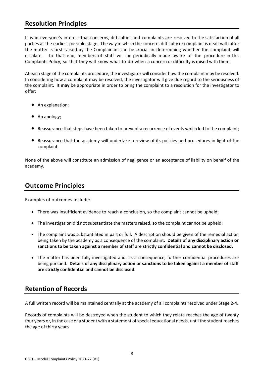## **Resolution Principles**

It is in everyone's interest that concerns, difficulties and complaints are resolved to the satisfaction of all parties at the earliest possible stage. The way in which the concern, difficulty or complaint is dealt with after the matter is first raised by the Complainant can be crucial in determining whether the complaint will escalate. To that end, members of staff will be periodically made aware of the procedure in this Complaints Policy, so that they will know what to do when a concern or difficulty is raised with them.

At each stage of the complaints procedure, the investigator will consider how the complaint may be resolved. In considering how a complaint may be resolved, the investigator will give due regard to the seriousness of the complaint. It **may** be appropriate in order to bring the complaint to a resolution for the investigator to offer:

- An explanation;
- An apology;
- Reassurance that steps have been taken to prevent a recurrence of events which led to the complaint;
- Reassurance that the academy will undertake a review of its policies and procedures in light of the complaint.

None of the above will constitute an admission of negligence or an acceptance of liability on behalf of the academy.

## **Outcome Principles**

Examples of outcomes include:

- There was insufficient evidence to reach a conclusion, so the complaint cannot be upheld;
- The investigation did not substantiate the matters raised, so the complaint cannot be upheld;
- The complaint was substantiated in part or full. A description should be given of the remedial action being taken by the academy as a consequence of the complaint. **Details of any disciplinary action or sanctions to be taken against a member of staff are strictly confidential and cannot be disclosed.**
- The matter has been fully investigated and, as a consequence, further confidential procedures are being pursued. **Details of any disciplinary action or sanctions to be taken against a member of staff are strictly confidential and cannot be disclosed.**

## **Retention of Records**

A full written record will be maintained centrally at the academy of all complaints resolved under Stage 2-4.

Records of complaints will be destroyed when the student to which they relate reaches the age of twenty four years or, in the case of a student with a statement of special educational needs, until the student reaches the age of thirty years.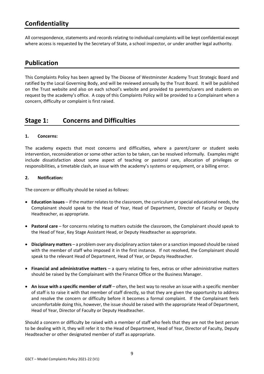## **Confidentiality**

All correspondence, statements and records relating to individual complaints will be kept confidential except where access is requested by the Secretary of State, a school inspector, or under another legal authority.

### **Publication**

This Complaints Policy has been agreed by The Diocese of Westminster Academy Trust Strategic Board and ratified by the Local Governing Body, and will be reviewed annually by the Trust Board. It will be published on the Trust website and also on each school's website and provided to parents/carers and students on request by the academy's office. A copy of this Complaints Policy will be provided to a Complainant when a concern, difficulty or complaint is first raised.

## **Stage 1: Concerns and Difficulties**

#### **1. Concerns:**

The academy expects that most concerns and difficulties, where a parent/carer or student seeks intervention, reconsideration or some other action to be taken, can be resolved informally. Examples might include dissatisfaction about some aspect of teaching or pastoral care, allocation of privileges or responsibilities, a timetable clash, an issue with the academy's systems or equipment, or a billing error.

#### **2. Notification:**

The concern or difficulty should be raised as follows:

- **Education issues**  if the matter relates to the classroom, the curriculum or special educational needs, the Complainant should speak to the Head of Year, Head of Department, Director of Faculty or Deputy Headteacher, as appropriate.
- **Pastoral care**  for concerns relating to matters outside the classroom, the Complainant should speak to the Head of Year, Key Stage Assistant Head, or Deputy Headteacher as appropriate.
- **Disciplinary matters**  a problem over any disciplinary action taken or a sanction imposed should be raised with the member of staff who imposed it in the first instance. If not resolved, the Complainant should speak to the relevant Head of Department, Head of Year, or Deputy Headteacher.
- **Financial and administrative matters**  a query relating to fees, extras or other administrative matters should be raised by the Complainant with the Finance Office or the Business Manager.
- **An issue with a specific member of staff** often, the best way to resolve an issue with a specific member of staff is to raise it with that member of staff directly, so that they are given the opportunity to address and resolve the concern or difficulty before it becomes a formal complaint. If the Complainant feels uncomfortable doing this, however, the issue should be raised with the appropriate Head of Department, Head of Year, Director of Faculty or Deputy Headteacher.

Should a concern or difficulty be raised with a member of staff who feels that they are not the best person to be dealing with it, they will refer it to the Head of Department, Head of Year, Director of Faculty, Deputy Headteacher or other designated member of staff as appropriate.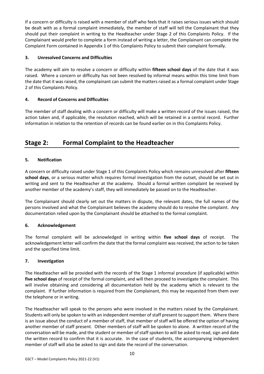If a concern or difficulty is raised with a member of staff who feels that it raises serious issues which should be dealt with as a formal complaint immediately, the member of staff will tell the Complainant that they should put their complaint in writing to the Headteacher under Stage 2 of this Complaints Policy. If the Complainant would prefer to complete a form instead of writing a letter, the Complainant can complete the Complaint Form contained in Appendix 1 of this Complaints Policy to submit their complaint formally.

#### **3. Unresolved Concerns and Difficulties**

The academy will aim to resolve a concern or difficulty within **fifteen school days** of the date that it was raised. Where a concern or difficulty has not been resolved by informal means within this time limit from the date that it was raised, the complainant can submit the matters raised as a formal complaint under Stage 2 of this Complaints Policy.

#### **4. Record of Concerns and Difficulties**

The member of staff dealing with a concern or difficulty will make a written record of the issues raised, the action taken and, if applicable, the resolution reached, which will be retained in a central record. Further information in relation to the retention of records can be found earlier on in this Complaints Policy.

## **Stage 2: Formal Complaint to the Headteacher**

#### **5. Notification**

A concern or difficulty raised under Stage 1 of this Complaints Policy which remains unresolved after **fifteen school days**, or a serious matter which requires formal investigation from the outset, should be set out in writing and sent to the Headteacher at the academy. Should a formal written complaint be received by another member of the academy's staff, they will immediately be passed on to the Headteacher.

The Complainant should clearly set out the matters in dispute, the relevant dates, the full names of the persons involved and what the Complainant believes the academy should do to resolve the complaint. Any documentation relied upon by the Complainant should be attached to the formal complaint.

#### **6. Acknowledgement**

The formal complaint will be acknowledged in writing within **five school days** of receipt. The acknowledgement letter will confirm the date that the formal complaint was received, the action to be taken and the specified time limit.

#### **7. Investigation**

The Headteacher will be provided with the records of the Stage 1 informal procedure (if applicable) within **five school days** of receipt of the formal complaint, and will then proceed to investigate the complaint. This will involve obtaining and considering all documentation held by the academy which is relevant to the complaint. If further information is required from the Complainant, this may be requested from them over the telephone or in writing.

The Headteacher will speak to the persons who were involved in the matters raised by the Complainant. Students will only be spoken to with an independent member of staff present to support them. Where there is an issue about the conduct of a member of staff, that member of staff will be offered the option of having another member of staff present. Other members of staff will be spoken to alone. A written record of the conversation will be made, and the student or member of staff spoken to will be asked to read, sign and date the written record to confirm that it is accurate. In the case of students, the accompanying independent member of staff will also be asked to sign and date the record of the conversation.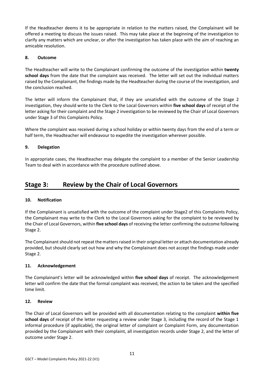If the Headteacher deems it to be appropriate in relation to the matters raised, the Complainant will be offered a meeting to discuss the issues raised. This may take place at the beginning of the investigation to clarify any matters which are unclear, or after the investigation has taken place with the aim of reaching an amicable resolution.

#### **8. Outcome**

The Headteacher will write to the Complainant confirming the outcome of the investigation within **twenty school days** from the date that the complaint was received. The letter will set out the individual matters raised by the Complainant, the findings made by the Headteacher during the course of the investigation, and the conclusion reached.

The letter will inform the Complainant that, if they are unsatisfied with the outcome of the Stage 2 investigation, they should write to the Clerk to the Local Governors within **five school days** of receipt of the letter asking for their complaint and the Stage 2 investigation to be reviewed by the Chair of Local Governors under Stage 3 of this Complaints Policy.

Where the complaint was received during a school holiday or within twenty days from the end of a term or half term, the Headteacher will endeavour to expedite the investigation wherever possible.

#### **9. Delegation**

In appropriate cases, the Headteacher may delegate the complaint to a member of the Senior Leadership Team to deal with in accordance with the procedure outlined above.

## **Stage 3: Review by the Chair of Local Governors**

#### **10. Notification**

If the Complainant is unsatisfied with the outcome of the complaint under Stage2 of this Complaints Policy, the Complainant may write to the Clerk to the Local Governors asking for the complaint to be reviewed by the Chair of Local Governors, within **five school days** of receiving the letter confirming the outcome following Stage 2.

The Complainant should not repeat the matters raised in their original letter or attach documentation already provided, but should clearly set out how and why the Complainant does not accept the findings made under Stage 2.

#### **11. Acknowledgement**

The Complainant's letter will be acknowledged within **five school days** of receipt. The acknowledgement letter will confirm the date that the formal complaint was received, the action to be taken and the specified time limit.

#### **12. Review**

The Chair of Local Governors will be provided with all documentation relating to the complaint **within five school days** of receipt of the letter requesting a review under Stage 3, including the record of the Stage 1 informal procedure (if applicable), the original letter of complaint or Complaint Form, any documentation provided by the Complainant with their complaint, all investigation records under Stage 2, and the letter of outcome under Stage 2.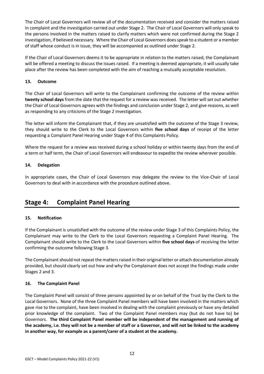The Chair of Local Governors will review all of the documentation received and consider the matters raised in complaint and the investigation carried out under Stage 2. The Chair of Local Governors will only speak to the persons involved in the matters raised to clarify matters which were not confirmed during the Stage 2 investigation, if believed necessary. Where the Chair of Local Governors does speak to a student or a member of staff whose conduct is in issue, they will be accompanied as outlined under Stage 2.

If the Chair of Local Governors deems it to be appropriate in relation to the matters raised, the Complainant will be offered a meeting to discuss the issues raised. If a meeting is deemed appropriate, it will usually take place after the review has been completed with the aim of reaching a mutually acceptable resolution.

#### **13. Outcome**

The Chair of Local Governors will write to the Complainant confirming the outcome of the review within **twenty school days** from the date that the request for a review was received. The letter will set out whether the Chair of Local Governors agrees with the findings and conclusion under Stage 2, and give reasons, as well as responding to any criticisms of the Stage 2 investigation.

The letter will inform the Complainant that, if they are unsatisfied with the outcome of the Stage 3 review, they should write to the Clerk to the Local Governors within **five school days** of receipt of the letter requesting a Complaint Panel Hearing under Stage 4 of this Complaints Policy.

Where the request for a review was received during a school holiday or within twenty days from the end of a term or half term, the Chair of Local Governors will endeavour to expedite the review wherever possible.

#### **14. Delegation**

In appropriate cases, the Chair of Local Governors may delegate the review to the Vice-Chair of Local Governors to deal with in accordance with the procedure outlined above.

## **Stage 4: Complaint Panel Hearing**

#### **15. Notification**

If the Complainant is unsatisfied with the outcome of the review under Stage 3 of this Complaints Policy, the Complainant may write to the Clerk to the Local Governors requesting a Complaint Panel Hearing. The Complainant should write to the Clerk to the Local Governors within **five school days** of receiving the letter confirming the outcome following Stage 3.

The Complainant should not repeat the matters raised in their original letter or attach documentation already provided, but should clearly set out how and why the Complainant does not accept the findings made under Stages 2 and 3.

#### **16. The Complaint Panel**

The Complaint Panel will consist of three persons appointed by or on behalf of the Trust by the Clerk to the Local Governors. None of the three Complaint Panel members will have been involved in the matters which gave rise to the complaint, have been involved in dealing with the complaint previously or have any detailed prior knowledge of the complaint. Two of the Complaint Panel members may (but do not have to) be Governors. **The third Complaint Panel member will be independent of the management and running of the academy, i.e. they will not be a member of staff or a Governor, and will not be linked to the academy in another way, for example as a parent/carer of a student at the academy.**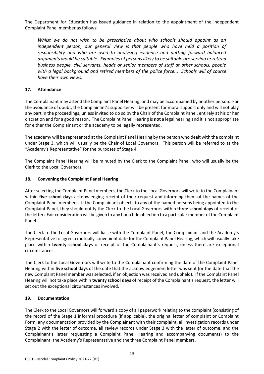The Department for Education has issued guidance in relation to the appointment of the independent Complaint Panel member as follows:

*Whilst we do not wish to be prescriptive about who schools should appoint as an independent person, our general view is that people who have held a position of responsibility and who are used to analysing evidence and putting forward balanced arguments would be suitable. Examples of persons likely to be suitable are serving or retired business people, civil servants, heads or senior members of staff at other schools, people with a legal background and retired members of the police force... Schools will of course have their own views.*

#### **17. Attendance**

The Complainant may attend the Complaint Panel Hearing, and may be accompanied by another person. For the avoidance of doubt, the Complainant's supporter will be present for moral support only and will not play any part in the proceedings, unless invited to do so by the Chair of the Complaint Panel, entirely at his or her discretion and for a good reason. The Complaint Panel Hearing is **not** a legal hearing and it is not appropriate for either the Complainant or the academy to be legally represented.

The academy will be represented at the Complaint Panel Hearing by the person who dealt with the complaint under Stage 3, which will usually be the Chair of Local Governors. This person will be referred to as the "Academy's Representative" for the purposes of Stage 4.

The Complaint Panel Hearing will be minuted by the Clerk to the Complaint Panel, who will usually be the Clerk to the Local Governors.

#### **18. Convening the Complaint Panel Hearing**

After selecting the Complaint Panel members, the Clerk to the Local Governors will write to the Complainant within **five school days** acknowledging receipt of their request and informing them of the names of the Complaint Panel members. If the Complainant objects to any of the named persons being appointed to the Complaint Panel, they should notify the Clerk to the Local Governors within **three school days** of receipt of the letter**.** Fair consideration will be given to any bona fide objection to a particular member of the Complaint Panel.

The Clerk to the Local Governors will liaise with the Complaint Panel, the Complainant and the Academy's Representative to agree a mutually convenient date for the Complaint Panel Hearing, which will usually take place within **twenty school days** of receipt of the Complainant's request, unless there are exceptional circumstances.

The Clerk to the Local Governors will write to the Complainant confirming the date of the Complaint Panel Hearing within **five school days** of the date that the acknowledgement letter was sent (or the date that the new Complaint Panel member was selected, if an objection was received and upheld). If the Complaint Panel Hearing will not take place within **twenty school days** of receipt of the Complainant's request, the letter will set out the exceptional circumstances involved.

#### **19. Documentation**

The Clerk to the Local Governors will forward a copy of all paperwork relating to the complaint (consisting of the record of the Stage 1 informal procedure (if applicable), the original letter of complaint or Complaint Form, any documentation provided by the Complainant with their complaint, all investigation records under Stage 2 with the letter of outcome, all review records under Stage 3 with the letter of outcome, and the Complainant's letter requesting a Complaint Panel Hearing and accompanying documents) to the Complainant, the Academy's Representative and the three Complaint Panel members.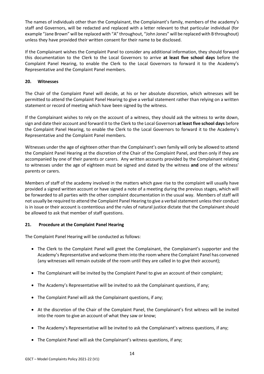The names of individuals other than the Complainant, the Complainant's family, members of the academy's staff and Governors, will be redacted and replaced with a letter relevant to that particular individual (for example "Jane Brown" will be replaced with "A" throughout, "John Jones" will be replaced with B throughout) unless they have provided their written consent for their name to be disclosed.

If the Complainant wishes the Complaint Panel to consider any additional information, they should forward this documentation to the Clerk to the Local Governors to arrive **at least five school days** before the Complaint Panel Hearing, to enable the Clerk to the Local Governors to forward it to the Academy's Representative and the Complaint Panel members.

#### **20. Witnesses**

The Chair of the Complaint Panel will decide, at his or her absolute discretion, which witnesses will be permitted to attend the Complaint Panel Hearing to give a verbal statement rather than relying on a written statement or record of meeting which have been signed by the witness.

If the Complainant wishes to rely on the account of a witness, they should ask the witness to write down, sign and date their account and forward it to the Clerk to the Local Governors **at least five school days** before the Complaint Panel Hearing, to enable the Clerk to the Local Governors to forward it to the Academy's Representative and the Complaint Panel members.

Witnesses under the age of eighteen other than the Complainant's own family will only be allowed to attend the Complaint Panel Hearing at the discretion of the Chair of the Complaint Panel, and then only if they are accompanied by one of their parents or carers. Any written accounts provided by the Complainant relating to witnesses under the age of eighteen must be signed and dated by the witness **and** one of the witness' parents or carers.

Members of staff of the academy involved in the matters which gave rise to the complaint will usually have provided a signed written account or have signed a note of a meeting during the previous stages, which will be forwarded to all parties with the other complaint documentation in the usual way. Members of staff will not usually be required to attend the Complaint Panel Hearing to give a verbal statement unless their conduct is in issue or their account is contentious and the rules of natural justice dictate that the Complainant should be allowed to ask that member of staff questions.

#### **21. Procedure at the Complaint Panel Hearing**

The Complaint Panel Hearing will be conducted as follows:

- The Clerk to the Complaint Panel will greet the Complainant, the Complainant's supporter and the Academy's Representative and welcome them into the room where the Complaint Panel has convened (any witnesses will remain outside of the room until they are called in to give their account);
- The Complainant will be invited by the Complaint Panel to give an account of their complaint;
- The Academy's Representative will be invited to ask the Complainant questions, if any;
- The Complaint Panel will ask the Complainant questions, if any;
- At the discretion of the Chair of the Complaint Panel, the Complainant's first witness will be invited into the room to give an account of what they saw or know;
- The Academy's Representative will be invited to ask the Complainant's witness questions, if any;
- The Complaint Panel will ask the Complainant's witness questions, if any;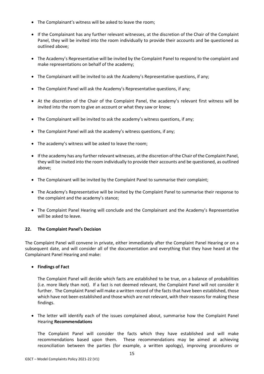- The Complainant's witness will be asked to leave the room;
- If the Complainant has any further relevant witnesses, at the discretion of the Chair of the Complaint Panel, they will be invited into the room individually to provide their accounts and be questioned as outlined above;
- The Academy's Representative will be invited by the Complaint Panel to respond to the complaint and make representations on behalf of the academy;
- The Complainant will be invited to ask the Academy's Representative questions, if any;
- The Complaint Panel will ask the Academy's Representative questions, if any;
- At the discretion of the Chair of the Complaint Panel, the academy's relevant first witness will be invited into the room to give an account or what they saw or know;
- The Complainant will be invited to ask the academy's witness questions, if any;
- The Complaint Panel will ask the academy's witness questions, if any;
- The academy's witness will be asked to leave the room;
- If the academy has any further relevant witnesses, at the discretion of the Chair of the Complaint Panel, they will be invited into the room individually to provide their accounts and be questioned, as outlined above;
- The Complainant will be invited by the Complaint Panel to summarise their complaint;
- The Academy's Representative will be invited by the Complaint Panel to summarise their response to the complaint and the academy's stance;
- The Complaint Panel Hearing will conclude and the Complainant and the Academy's Representative will be asked to leave.

#### **22. The Complaint Panel's Decision**

The Complaint Panel will convene in private, either immediately after the Complaint Panel Hearing or on a subsequent date, and will consider all of the documentation and everything that they have heard at the Complainant Panel Hearing and make:

• **Findings of Fact**

The Complaint Panel will decide which facts are established to be true, on a balance of probabilities (i.e. more likely than not). If a fact is not deemed relevant, the Complaint Panel will not consider it further. The Complaint Panel will make a written record of the facts that have been established, those which have not been established and those which are not relevant, with their reasons for making these findings.

• The letter will identify each of the issues complained about, summarise how the Complaint Panel Hearing **Recommendations**

The Complaint Panel will consider the facts which they have established and will make recommendations based upon them. These recommendations may be aimed at achieving reconciliation between the parties (for example, a written apology), improving procedures or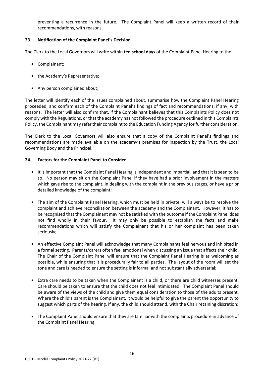preventing a recurrence in the future. The Complaint Panel will keep a written record of their recommendations, with reasons.

#### **23. Notification of the Complaint Panel's Decision**

The Clerk to the Local Governors will write within **ten school days** of the Complaint Panel Hearing to the:

- Complainant;
- the Academy's Representative;
- Any person complained about;

The letter will identify each of the issues complained about, summarise how the Complaint Panel Hearing proceeded, and confirm each of the Complaint Panel's findings of fact and recommendations, if any, with reasons. The letter will also confirm that, if the Complainant believes that this Complaints Policy does not comply with the Regulations, or that the academy has not followed the procedure outlined in this Complaints Policy, the Complainant may refer their complaint to the Education Funding Agency for further consideration.

The Clerk to the Local Governors will also ensure that a copy of the Complaint Panel's findings and recommendations are made available on the academy's premises for inspection by the Trust, the Local Governing Body and the Principal.

#### **24. Factors for the Complaint Panel to Consider**

- It is important that the Complaint Panel Hearing is independent and impartial, and that it is seen to be so. No person may sit on the Complaint Panel if they have had a prior involvement in the matters which gave rise to the complaint, in dealing with the complaint in the previous stages, or have a prior detailed knowledge of the complaint;
- The aim of the Complaint Panel Hearing, which must be held in private, will always be to resolve the complaint and achieve reconciliation between the academy and the Complainant. However, it has to be recognised that the Complainant may not be satisfied with the outcome if the Complaint Panel does not find wholly in their favour. It may only be possible to establish the facts and make recommendations which will satisfy the Complainant that his or her complaint has been taken seriously;
- An effective Complaint Panel will acknowledge that many Complainants feel nervous and inhibited in a formal setting. Parents/carers often feel emotional when discussing an issue that affects their child. The Chair of the Complaint Panel will ensure that the Complaint Panel Hearing is as welcoming as possible, while ensuring that it is procedurally fair to all parties. The layout of the room will set the tone and care is needed to ensure the setting is informal and not substantially adversarial;
- Extra care needs to be taken when the Complainant is a child, or there are child witnesses present. Care should be taken to ensure that the child does not feel intimidated. The Complaint Panel should be aware of the views of the child and give them equal consideration to those of the adults present. Where the child's parent is the Complainant, it would be helpful to give the parent the opportunity to suggest which parts of the hearing, if any, the child should attend, with the Chair retaining discretion;
- The Complaint Panel should ensure that they are familiar with the complaints procedure in advance of the Complaint Panel Hearing.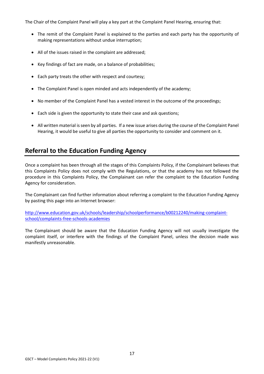The Chair of the Complaint Panel will play a key part at the Complaint Panel Hearing, ensuring that:

- The remit of the Complaint Panel is explained to the parties and each party has the opportunity of making representations without undue interruption;
- All of the issues raised in the complaint are addressed;
- Key findings of fact are made, on a balance of probabilities;
- Each party treats the other with respect and courtesy;
- The Complaint Panel is open minded and acts independently of the academy;
- No member of the Complaint Panel has a vested interest in the outcome of the proceedings;
- Each side is given the opportunity to state their case and ask questions;
- All written material is seen by all parties. If a new issue arises during the course of the Complaint Panel Hearing, it would be useful to give all parties the opportunity to consider and comment on it.

## **Referral to the Education Funding Agency**

Once a complaint has been through all the stages of this Complaints Policy, if the Complainant believes that this Complaints Policy does not comply with the Regulations, or that the academy has not followed the procedure in this Complaints Policy, the Complainant can refer the complaint to the Education Funding Agency for consideration.

The Complainant can find further information about referring a complaint to the Education Funding Agency by pasting this page into an Internet browser:

[http://www.education.gov.uk/schools/leadership/schoolperformance/b00212240/making-complaint](http://www.education.gov.uk/schools/leadership/schoolperformance/b00212240/making-complaint-school/complaints-free-schools-academies)[school/complaints-free-schools-academies](http://www.education.gov.uk/schools/leadership/schoolperformance/b00212240/making-complaint-school/complaints-free-schools-academies)

The Complainant should be aware that the Education Funding Agency will not usually investigate the complaint itself, or interfere with the findings of the Complaint Panel, unless the decision made was manifestly unreasonable.